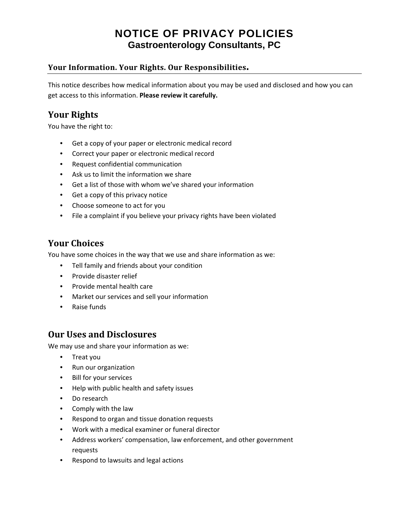# **NOTICE OF PRIVACY POLICIES Gastroenterology Consultants, PC**

## **Your Information. Your Rights. Our Responsibilities.**

This notice describes how medical information about you may be used and disclosed and how you can get access to this information. **Please review it carefully.**

# **Your Rights**

You have the right to:

- Get a copy of your paper or electronic medical record
- Correct your paper or electronic medical record
- Request confidential communication
- Ask us to limit the information we share
- Get a list of those with whom we've shared your information
- Get a copy of this privacy notice
- Choose someone to act for you
- File a complaint if you believe your privacy rights have been violated

# **Your Choices**

You have some choices in the way that we use and share information as we:

- Tell family and friends about your condition
- Provide disaster relief
- Provide mental health care
- Market our services and sell your information
- Raise funds

# **Our Uses and Disclosures**

We may use and share your information as we:

- Treat you
- Run our organization
- Bill for your services
- Help with public health and safety issues
- Do research
- Comply with the law
- Respond to organ and tissue donation requests
- Work with a medical examiner or funeral director
- Address workers' compensation, law enforcement, and other government requests
- Respond to lawsuits and legal actions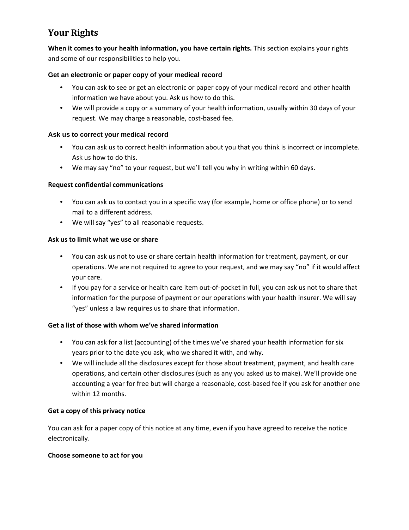# **Your Rights**

**When it comes to your health information, you have certain rights.** This section explains your rights and some of our responsibilities to help you.

### **Get an electronic or paper copy of your medical record**

- You can ask to see or get an electronic or paper copy of your medical record and other health information we have about you. Ask us how to do this.
- We will provide a copy or a summary of your health information, usually within 30 days of your request. We may charge a reasonable, cost-based fee.

### **Ask us to correct your medical record**

- You can ask us to correct health information about you that you think is incorrect or incomplete. Ask us how to do this.
- We may say "no" to your request, but we'll tell you why in writing within 60 days.

### **Request confidential communications**

- You can ask us to contact you in a specific way (for example, home or office phone) or to send mail to a different address.
- We will say "yes" to all reasonable requests.

### **Ask us to limit what we use or share**

- You can ask us not to use or share certain health information for treatment, payment, or our operations. We are not required to agree to your request, and we may say "no" if it would affect your care.
- If you pay for a service or health care item out-of-pocket in full, you can ask us not to share that information for the purpose of payment or our operations with your health insurer. We will say "yes" unless a law requires us to share that information.

## **Get a list of those with whom we've shared information**

- You can ask for a list (accounting) of the times we've shared your health information for six years prior to the date you ask, who we shared it with, and why.
- We will include all the disclosures except for those about treatment, payment, and health care operations, and certain other disclosures (such as any you asked us to make). We'll provide one accounting a year for free but will charge a reasonable, cost-based fee if you ask for another one within 12 months.

## **Get a copy of this privacy notice**

You can ask for a paper copy of this notice at any time, even if you have agreed to receive the notice electronically.

### **Choose someone to act for you**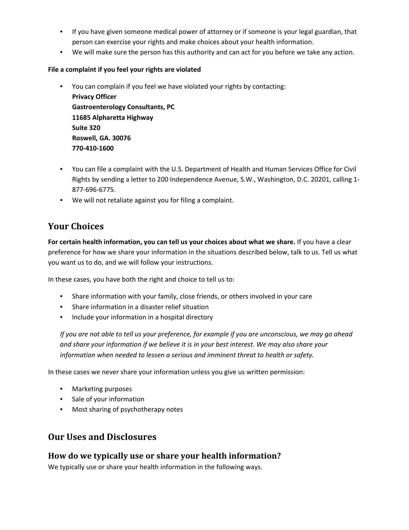- If you have given someone medical power of attorney or if someone is your legal guardian, that person can exercise your rights and make choices about your health information.
- We will make sure the person has this authority and can act for you before we take any action.

## **File a complaint if you feel your rights are violated**

- You can complain if you feel we have violated your rights by contacting: **Privacy Officer Gastroenterology Consultants, PC 11685 Alpharetta Highway Suite 320 Roswell, GA. 30076 770-410-1600**
- You can file a complaint with the U.S. Department of Health and Human Services Office for Civil Rights by sending a letter to 200 Independence Avenue, S.W., Washington, D.C. 20201, calling 1- 877-696-6775.
- We will not retaliate against you for filing a complaint.

# **Your Choices**

**For certain health information, you can tell us your choices about what we share.** If you have a clear preference for how we share your information in the situations described below, talk to us. Tell us what you want us to do, and we will follow your instructions.

In these cases, you have both the right and choice to tell us to:

- Share information with your family, close friends, or others involved in your care
- Share information in a disaster relief situation
- Include your information in a hospital directory

*If you are not able to tell us your preference, for example if you are unconscious, we may go ahead and share your information if we believe it is in your best interest. We may also share your information when needed to lessen a serious and imminent threat to health or safety.*

In these cases we never share your information unless you give us written permission:

- Marketing purposes
- Sale of your information
- Most sharing of psychotherapy notes

## **Our Uses and Disclosures**

## **How do we typically use or share your health information?**

We typically use or share your health information in the following ways.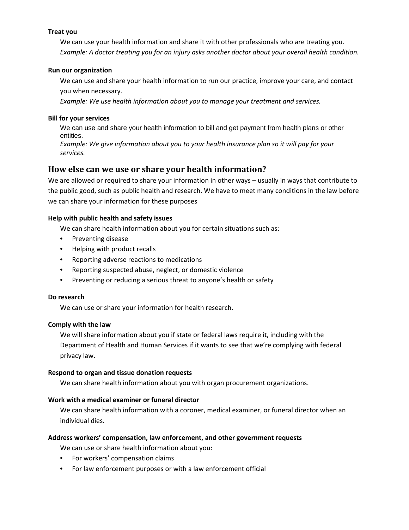### **Treat you**

We can use your health information and share it with other professionals who are treating you. *Example: A doctor treating you for an injury asks another doctor about your overall health condition.*

#### **Run our organization**

We can use and share your health information to run our practice, improve your care, and contact you when necessary.

*Example: We use health information about you to manage your treatment and services.* 

#### **Bill for your services**

We can use and share your health information to bill and get payment from health plans or other entities.

*Example: We give information about you to your health insurance plan so it will pay for your services.* 

## **How else can we use or share your health information?**

We are allowed or required to share your information in other ways – usually in ways that contribute to the public good, such as public health and research. We have to meet many conditions in the law before we can share your information for these purposes

### **Help with public health and safety issues**

We can share health information about you for certain situations such as:

- Preventing disease
- Helping with product recalls
- Reporting adverse reactions to medications
- Reporting suspected abuse, neglect, or domestic violence
- Preventing or reducing a serious threat to anyone's health or safety

### **Do research**

We can use or share your information for health research.

### **Comply with the law**

We will share information about you if state or federal laws require it, including with the Department of Health and Human Services if it wants to see that we're complying with federal privacy law.

### **Respond to organ and tissue donation requests**

We can share health information about you with organ procurement organizations.

### **Work with a medical examiner or funeral director**

We can share health information with a coroner, medical examiner, or funeral director when an individual dies.

### **Address workers' compensation, law enforcement, and other government requests**

We can use or share health information about you:

- For workers' compensation claims
- For law enforcement purposes or with a law enforcement official